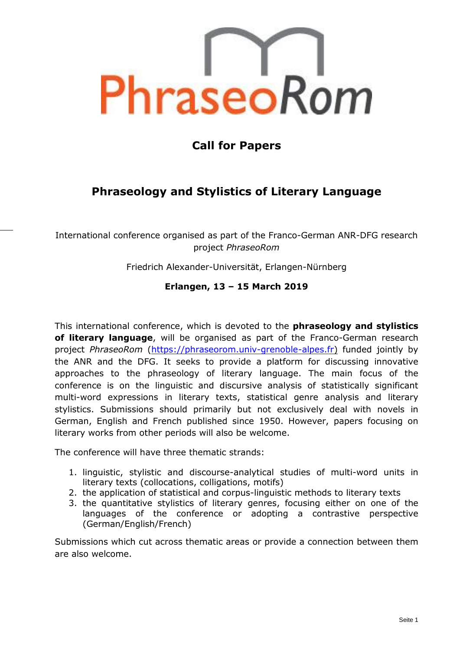

# **Call for Papers**

## **Phraseology and Stylistics of Literary Language**

International conference organised as part of the Franco-German ANR-DFG research project *PhraseoRom*

Friedrich Alexander-Universität, Erlangen-Nürnberg

## **Erlangen, 13 – 15 March 2019**

This international conference, which is devoted to the **phraseology and stylistics of literary language**, will be organised as part of the Franco-German research project *PhraseoRom* [\(https://phraseorom.univ-grenoble-alpes.fr\)](https://phraseorom.univ-grenoble-alpes.fr/) funded jointly by the ANR and the DFG. It seeks to provide a platform for discussing innovative approaches to the phraseology of literary language. The main focus of the conference is on the linguistic and discursive analysis of statistically significant multi-word expressions in literary texts, statistical genre analysis and literary stylistics. Submissions should primarily but not exclusively deal with novels in German, English and French published since 1950. However, papers focusing on literary works from other periods will also be welcome.

The conference will have three thematic strands:

- 1. linguistic, stylistic and discourse-analytical studies of multi-word units in literary texts (collocations, colligations, motifs)
- 2. the application of statistical and corpus-linguistic methods to literary texts
- 3. the quantitative stylistics of literary genres, focusing either on one of the languages of the conference or adopting a contrastive perspective (German/English/French)

Submissions which cut across thematic areas or provide a connection between them are also welcome.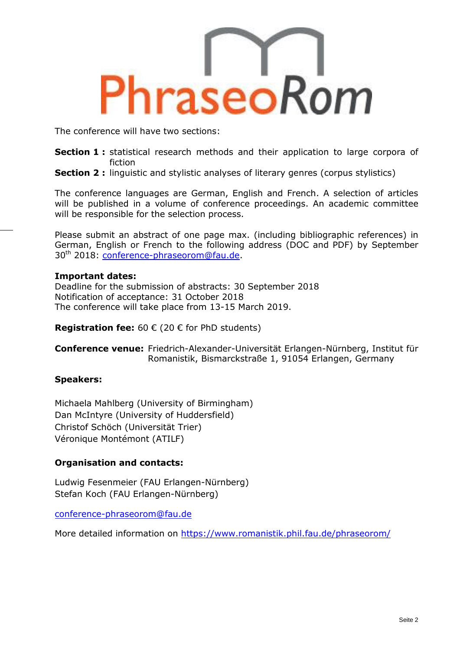

The conference will have two sections:

- **Section 1 :** statistical research methods and their application to large corpora of fiction
- **Section 2 :** linguistic and stylistic analyses of literary genres (corpus stylistics)

The conference languages are German, English and French. A selection of articles will be published in a volume of conference proceedings. An academic committee will be responsible for the selection process.

Please submit an abstract of one page max. (including bibliographic references) in German, English or French to the following address (DOC and PDF) by September 30th 2018: [conference-phraseorom@fau.de.](mailto:conference-phraseorom@fau.de)

#### **Important dates:**

Deadline for the submission of abstracts: 30 September 2018 Notification of acceptance: 31 October 2018 The conference will take place from 13-15 March 2019.

**Registration fee:** 60 € (20 € for PhD students)

**Conference venue:** Friedrich-Alexander-Universität Erlangen-Nürnberg, Institut für Romanistik, Bismarckstraße 1, 91054 Erlangen, Germany

## **Speakers:**

Michaela Mahlberg (University of Birmingham) Dan McIntyre (University of Huddersfield) Christof Schöch (Universität Trier) Véronique Montémont (ATILF)

## **Organisation and contacts:**

Ludwig Fesenmeier (FAU Erlangen-Nürnberg) Stefan Koch (FAU Erlangen-Nürnberg)

[conference-phraseorom@fau.de](mailto:conference-phraseorom@fau.de)

More detailed information on <https://www.romanistik.phil.fau.de/phraseorom/>